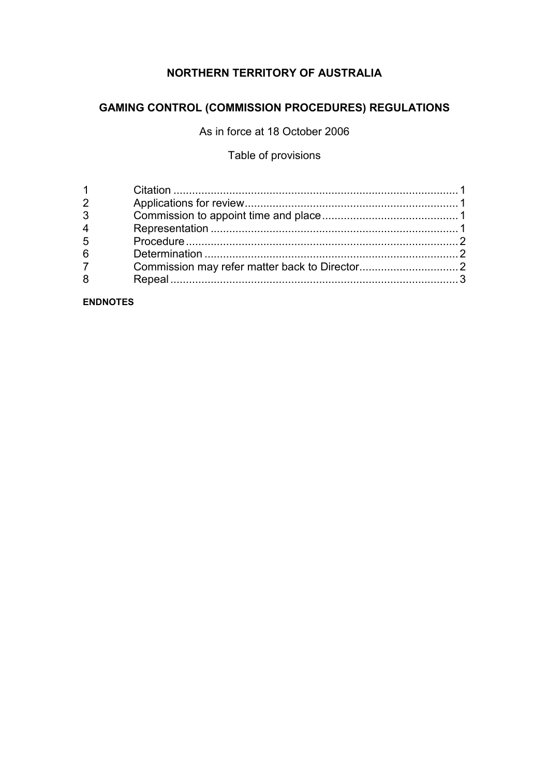# **NORTHERN TERRITORY OF AUSTRALIA**

## **GAMING CONTROL (COMMISSION PROCEDURES) REGULATIONS**

As in force at 18 October 2006

## Table of provisions

| 4  |  |
|----|--|
| -5 |  |
| 6  |  |
|    |  |
|    |  |
|    |  |

**ENDNOTES**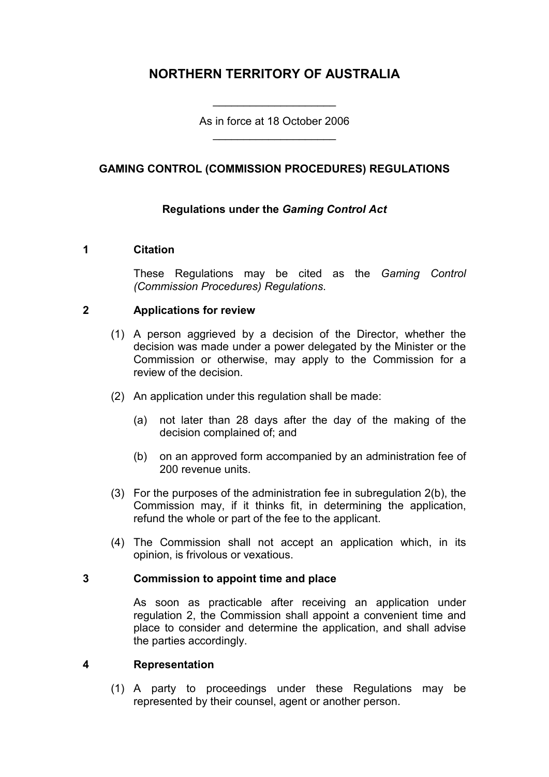# **NORTHERN TERRITORY OF AUSTRALIA**

As in force at 18 October 2006 \_\_\_\_\_\_\_\_\_\_\_\_\_\_\_\_\_\_\_\_

\_\_\_\_\_\_\_\_\_\_\_\_\_\_\_\_\_\_\_\_

## **GAMING CONTROL (COMMISSION PROCEDURES) REGULATIONS**

## **Regulations under the** *Gaming Control Act*

#### **1 Citation**

These Regulations may be cited as the *Gaming Control (Commission Procedures) Regulations*.

#### **2 Applications for review**

- (1) A person aggrieved by a decision of the Director, whether the decision was made under a power delegated by the Minister or the Commission or otherwise, may apply to the Commission for a review of the decision.
- (2) An application under this regulation shall be made:
	- (a) not later than 28 days after the day of the making of the decision complained of; and
	- (b) on an approved form accompanied by an administration fee of 200 revenue units.
- (3) For the purposes of the administration fee in subregulation 2(b), the Commission may, if it thinks fit, in determining the application, refund the whole or part of the fee to the applicant.
- (4) The Commission shall not accept an application which, in its opinion, is frivolous or vexatious.

#### **3 Commission to appoint time and place**

As soon as practicable after receiving an application under regulation 2, the Commission shall appoint a convenient time and place to consider and determine the application, and shall advise the parties accordingly.

#### **4 Representation**

(1) A party to proceedings under these Regulations may be represented by their counsel, agent or another person.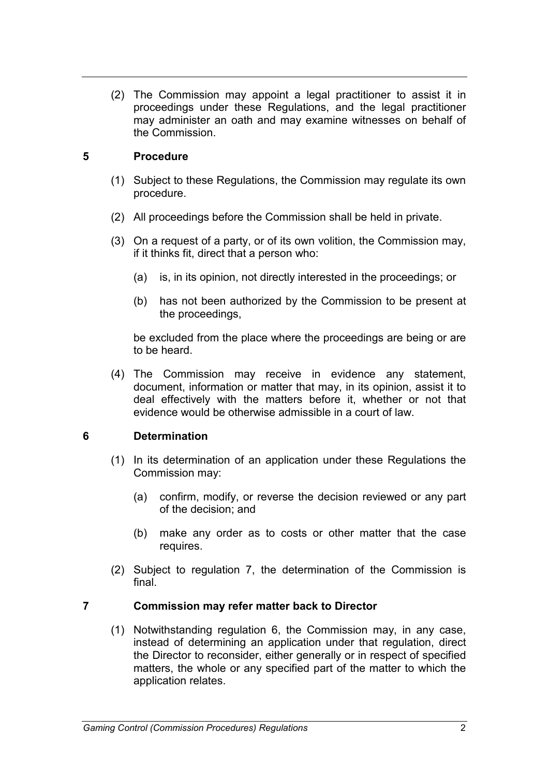(2) The Commission may appoint a legal practitioner to assist it in proceedings under these Regulations, and the legal practitioner may administer an oath and may examine witnesses on behalf of the Commission.

## **5 Procedure**

- (1) Subject to these Regulations, the Commission may regulate its own procedure.
- (2) All proceedings before the Commission shall be held in private.
- (3) On a request of a party, or of its own volition, the Commission may, if it thinks fit, direct that a person who:
	- (a) is, in its opinion, not directly interested in the proceedings; or
	- (b) has not been authorized by the Commission to be present at the proceedings,

be excluded from the place where the proceedings are being or are to be heard.

(4) The Commission may receive in evidence any statement, document, information or matter that may, in its opinion, assist it to deal effectively with the matters before it, whether or not that evidence would be otherwise admissible in a court of law.

## **6 Determination**

- (1) In its determination of an application under these Regulations the Commission may:
	- (a) confirm, modify, or reverse the decision reviewed or any part of the decision; and
	- (b) make any order as to costs or other matter that the case requires.
- (2) Subject to regulation 7, the determination of the Commission is final.

## **7 Commission may refer matter back to Director**

(1) Notwithstanding regulation 6, the Commission may, in any case, instead of determining an application under that regulation, direct the Director to reconsider, either generally or in respect of specified matters, the whole or any specified part of the matter to which the application relates.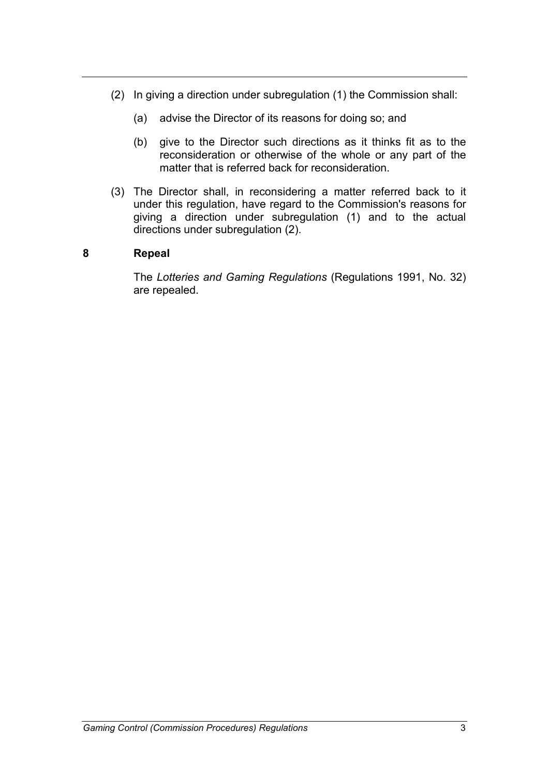- (2) In giving a direction under subregulation (1) the Commission shall:
	- (a) advise the Director of its reasons for doing so; and
	- (b) give to the Director such directions as it thinks fit as to the reconsideration or otherwise of the whole or any part of the matter that is referred back for reconsideration.
- (3) The Director shall, in reconsidering a matter referred back to it under this regulation, have regard to the Commission's reasons for giving a direction under subregulation (1) and to the actual directions under subregulation (2).

#### **8 Repeal**

The *Lotteries and Gaming Regulations* (Regulations 1991, No. 32) are repealed.